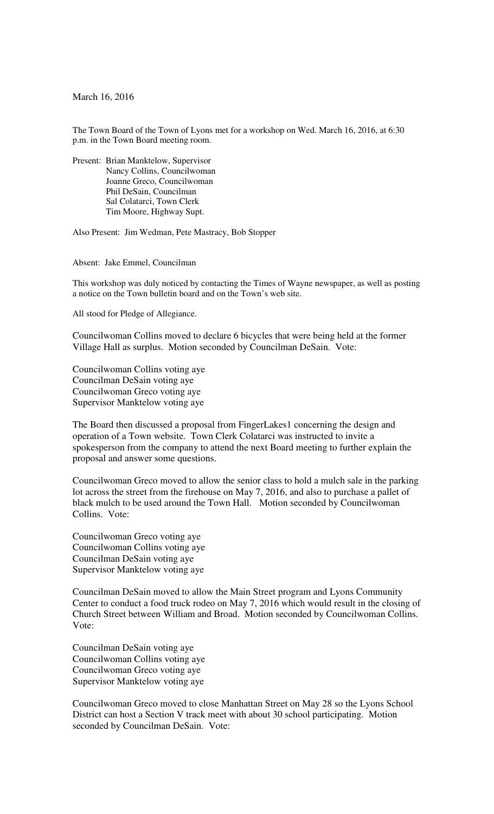March 16, 2016

The Town Board of the Town of Lyons met for a workshop on Wed. March 16, 2016, at 6:30 p.m. in the Town Board meeting room.

Present: Brian Manktelow, Supervisor Nancy Collins, Councilwoman Joanne Greco, Councilwoman Phil DeSain, Councilman Sal Colatarci, Town Clerk Tim Moore, Highway Supt.

Also Present: Jim Wedman, Pete Mastracy, Bob Stopper

Absent: Jake Emmel, Councilman

This workshop was duly noticed by contacting the Times of Wayne newspaper, as well as posting a notice on the Town bulletin board and on the Town's web site.

All stood for Pledge of Allegiance.

Councilwoman Collins moved to declare 6 bicycles that were being held at the former Village Hall as surplus. Motion seconded by Councilman DeSain. Vote:

Councilwoman Collins voting aye Councilman DeSain voting aye Councilwoman Greco voting aye Supervisor Manktelow voting aye

The Board then discussed a proposal from FingerLakes1 concerning the design and operation of a Town website. Town Clerk Colatarci was instructed to invite a spokesperson from the company to attend the next Board meeting to further explain the proposal and answer some questions.

Councilwoman Greco moved to allow the senior class to hold a mulch sale in the parking lot across the street from the firehouse on May 7, 2016, and also to purchase a pallet of black mulch to be used around the Town Hall. Motion seconded by Councilwoman Collins. Vote:

Councilwoman Greco voting aye Councilwoman Collins voting aye Councilman DeSain voting aye Supervisor Manktelow voting aye

Councilman DeSain moved to allow the Main Street program and Lyons Community Center to conduct a food truck rodeo on May 7, 2016 which would result in the closing of Church Street between William and Broad. Motion seconded by Councilwoman Collins. Vote:

Councilman DeSain voting aye Councilwoman Collins voting aye Councilwoman Greco voting aye Supervisor Manktelow voting aye

Councilwoman Greco moved to close Manhattan Street on May 28 so the Lyons School District can host a Section V track meet with about 30 school participating. Motion seconded by Councilman DeSain. Vote: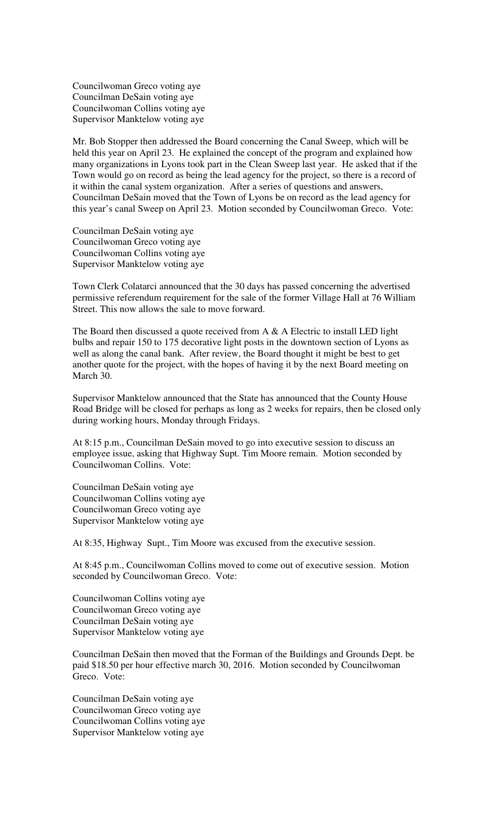Councilwoman Greco voting aye Councilman DeSain voting aye Councilwoman Collins voting aye Supervisor Manktelow voting aye

Mr. Bob Stopper then addressed the Board concerning the Canal Sweep, which will be held this year on April 23. He explained the concept of the program and explained how many organizations in Lyons took part in the Clean Sweep last year. He asked that if the Town would go on record as being the lead agency for the project, so there is a record of it within the canal system organization. After a series of questions and answers, Councilman DeSain moved that the Town of Lyons be on record as the lead agency for this year's canal Sweep on April 23. Motion seconded by Councilwoman Greco. Vote:

Councilman DeSain voting aye Councilwoman Greco voting aye Councilwoman Collins voting aye Supervisor Manktelow voting aye

Town Clerk Colatarci announced that the 30 days has passed concerning the advertised permissive referendum requirement for the sale of the former Village Hall at 76 William Street. This now allows the sale to move forward.

The Board then discussed a quote received from  $A \& A$  Electric to install LED light bulbs and repair 150 to 175 decorative light posts in the downtown section of Lyons as well as along the canal bank. After review, the Board thought it might be best to get another quote for the project, with the hopes of having it by the next Board meeting on March 30.

Supervisor Manktelow announced that the State has announced that the County House Road Bridge will be closed for perhaps as long as 2 weeks for repairs, then be closed only during working hours, Monday through Fridays.

At 8:15 p.m., Councilman DeSain moved to go into executive session to discuss an employee issue, asking that Highway Supt. Tim Moore remain. Motion seconded by Councilwoman Collins. Vote:

Councilman DeSain voting aye Councilwoman Collins voting aye Councilwoman Greco voting aye Supervisor Manktelow voting aye

At 8:35, Highway Supt., Tim Moore was excused from the executive session.

At 8:45 p.m., Councilwoman Collins moved to come out of executive session. Motion seconded by Councilwoman Greco. Vote:

Councilwoman Collins voting aye Councilwoman Greco voting aye Councilman DeSain voting aye Supervisor Manktelow voting aye

Councilman DeSain then moved that the Forman of the Buildings and Grounds Dept. be paid \$18.50 per hour effective march 30, 2016. Motion seconded by Councilwoman Greco. Vote:

Councilman DeSain voting aye Councilwoman Greco voting aye Councilwoman Collins voting aye Supervisor Manktelow voting aye